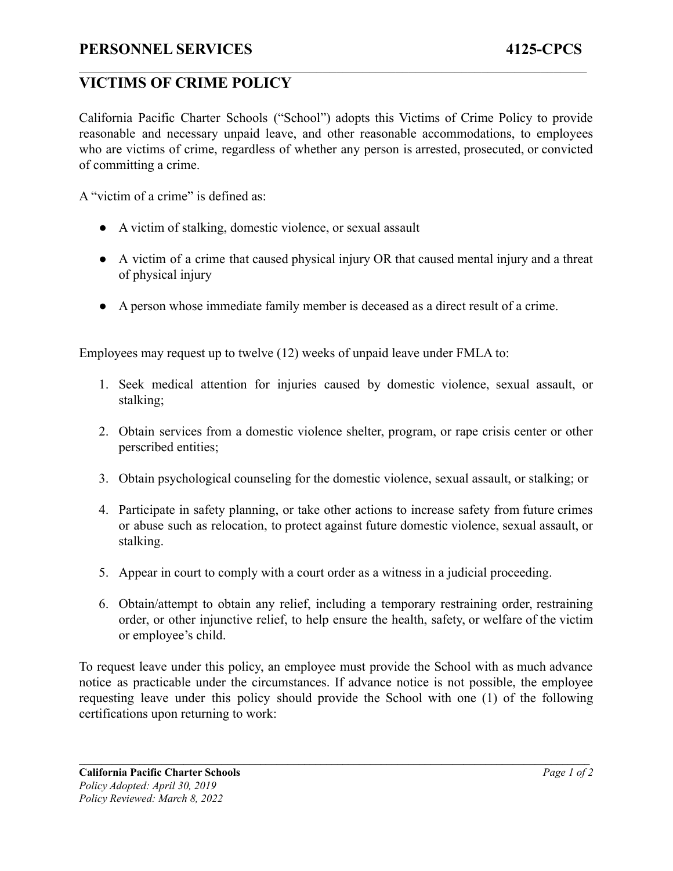## **VICTIMS OF CRIME POLICY**

California Pacific Charter Schools ("School") adopts this Victims of Crime Policy to provide reasonable and necessary unpaid leave, and other reasonable accommodations, to employees who are victims of crime, regardless of whether any person is arrested, prosecuted, or convicted of committing a crime.

 $\mathcal{L}_\mathcal{L} = \{ \mathcal{L}_\mathcal{L} = \{ \mathcal{L}_\mathcal{L} = \{ \mathcal{L}_\mathcal{L} = \{ \mathcal{L}_\mathcal{L} = \{ \mathcal{L}_\mathcal{L} = \{ \mathcal{L}_\mathcal{L} = \{ \mathcal{L}_\mathcal{L} = \{ \mathcal{L}_\mathcal{L} = \{ \mathcal{L}_\mathcal{L} = \{ \mathcal{L}_\mathcal{L} = \{ \mathcal{L}_\mathcal{L} = \{ \mathcal{L}_\mathcal{L} = \{ \mathcal{L}_\mathcal{L} = \{ \mathcal{L}_\mathcal{$ 

A "victim of a crime" is defined as:

- A victim of stalking, domestic violence, or sexual assault
- A victim of a crime that caused physical injury OR that caused mental injury and a threat of physical injury
- A person whose immediate family member is deceased as a direct result of a crime.

Employees may request up to twelve (12) weeks of unpaid leave under FMLA to:

- 1. Seek medical attention for injuries caused by domestic violence, sexual assault, or stalking;
- 2. Obtain services from a domestic violence shelter, program, or rape crisis center or other perscribed entities;
- 3. Obtain psychological counseling for the domestic violence, sexual assault, or stalking; or
- 4. Participate in safety planning, or take other actions to increase safety from future crimes or abuse such as relocation, to protect against future domestic violence, sexual assault, or stalking.
- 5. Appear in court to comply with a court order as a witness in a judicial proceeding.
- 6. Obtain/attempt to obtain any relief, including a temporary restraining order, restraining order, or other injunctive relief, to help ensure the health, safety, or welfare of the victim or employee's child.

To request leave under this policy, an employee must provide the School with as much advance notice as practicable under the circumstances. If advance notice is not possible, the employee requesting leave under this policy should provide the School with one (1) of the following certifications upon returning to work: